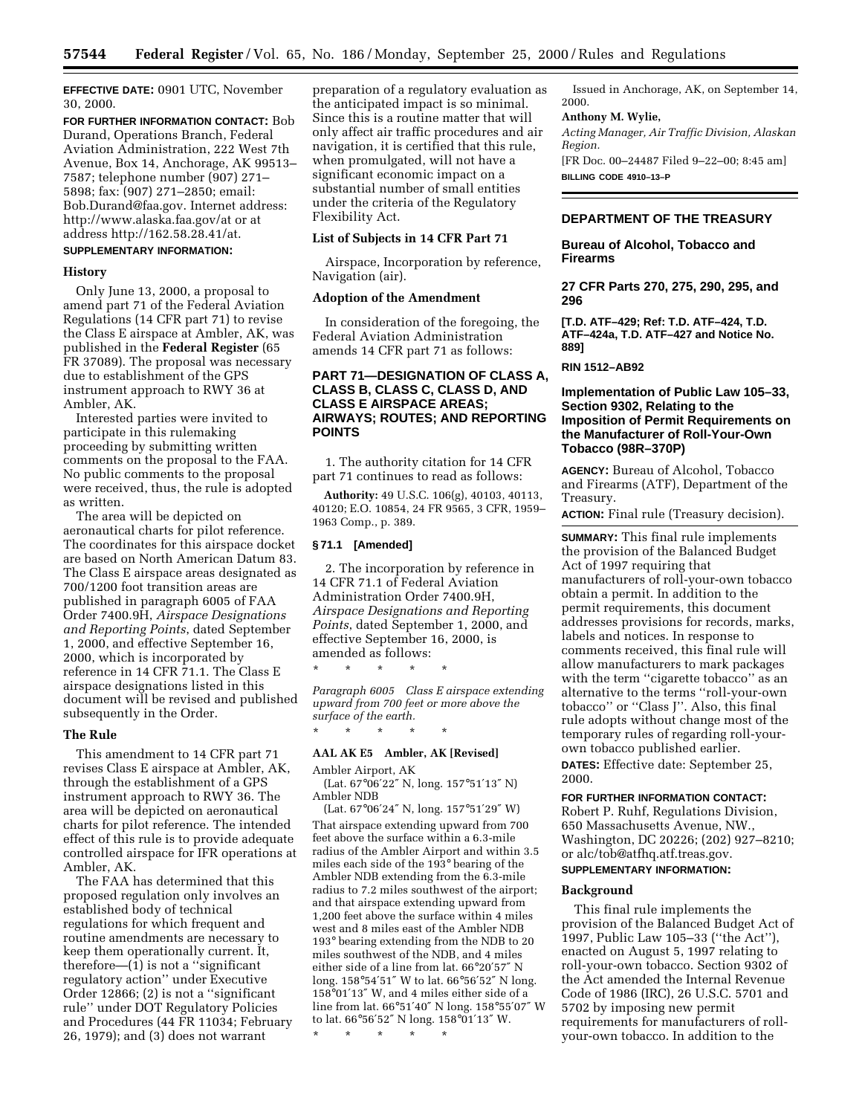**EFFECTIVE DATE:** 0901 UTC, November 30, 2000.

**FOR FURTHER INFORMATION CONTACT:** Bob Durand, Operations Branch, Federal Aviation Administration, 222 West 7th Avenue, Box 14, Anchorage, AK 99513– 7587; telephone number (907) 271– 5898; fax: (907) 271–2850; email: Bob.Durand@faa.gov. Internet address: http://www.alaska.faa.gov/at or at address http://162.58.28.41/at.

# **SUPPLEMENTARY INFORMATION:**

# **History**

Only June 13, 2000, a proposal to amend part 71 of the Federal Aviation Regulations (14 CFR part 71) to revise the Class E airspace at Ambler, AK, was published in the **Federal Register** (65 FR 37089). The proposal was necessary due to establishment of the GPS instrument approach to RWY 36 at Ambler, AK.

Interested parties were invited to participate in this rulemaking proceeding by submitting written comments on the proposal to the FAA. No public comments to the proposal were received, thus, the rule is adopted as written.

The area will be depicted on aeronautical charts for pilot reference. The coordinates for this airspace docket are based on North American Datum 83. The Class E airspace areas designated as 700/1200 foot transition areas are published in paragraph 6005 of FAA Order 7400.9H, *Airspace Designations and Reporting Points*, dated September 1, 2000, and effective September 16, 2000, which is incorporated by reference in 14 CFR 71.1. The Class E airspace designations listed in this document will be revised and published subsequently in the Order.

#### **The Rule**

This amendment to 14 CFR part 71 revises Class E airspace at Ambler, AK, through the establishment of a GPS instrument approach to RWY 36. The area will be depicted on aeronautical charts for pilot reference. The intended effect of this rule is to provide adequate controlled airspace for IFR operations at Ambler, AK.

The FAA has determined that this proposed regulation only involves an established body of technical regulations for which frequent and routine amendments are necessary to keep them operationally current. It, therefore— $(1)$  is not a "significant" regulatory action'' under Executive Order 12866; (2) is not a ''significant rule'' under DOT Regulatory Policies and Procedures (44 FR 11034; February 26, 1979); and (3) does not warrant

preparation of a regulatory evaluation as the anticipated impact is so minimal. Since this is a routine matter that will only affect air traffic procedures and air navigation, it is certified that this rule, when promulgated, will not have a significant economic impact on a substantial number of small entities under the criteria of the Regulatory Flexibility Act.

# **List of Subjects in 14 CFR Part 71**

Airspace, Incorporation by reference, Navigation (air).

#### **Adoption of the Amendment**

In consideration of the foregoing, the Federal Aviation Administration amends 14 CFR part 71 as follows:

# **PART 71—DESIGNATION OF CLASS A, CLASS B, CLASS C, CLASS D, AND CLASS E AIRSPACE AREAS; AIRWAYS; ROUTES; AND REPORTING POINTS**

1. The authority citation for 14 CFR part 71 continues to read as follows:

**Authority:** 49 U.S.C. 106(g), 40103, 40113, 40120; E.O. 10854, 24 FR 9565, 3 CFR, 1959– 1963 Comp., p. 389.

#### **§ 71.1 [Amended]**

2. The incorporation by reference in 14 CFR 71.1 of Federal Aviation Administration Order 7400.9H, *Airspace Designations and Reporting Points*, dated September 1, 2000, and effective September 16, 2000, is amended as follows:

\* \* \* \* \*

\* \* \* \* \*

*Paragraph 6005 Class E airspace extending upward from 700 feet or more above the surface of the earth.*

# **AAL AK E5 Ambler, AK [Revised]**

Ambler Airport, AK

(Lat. 67°06′22″ N, long. 157°51′13″ N) Ambler NDB

(Lat. 67°06′24″ N, long. 157°51′29″ W) That airspace extending upward from 700 feet above the surface within a 6.3-mile radius of the Ambler Airport and within 3.5 miles each side of the 193° bearing of the Ambler NDB extending from the 6.3-mile radius to 7.2 miles southwest of the airport; and that airspace extending upward from 1,200 feet above the surface within 4 miles west and 8 miles east of the Ambler NDB 193° bearing extending from the NDB to 20 miles southwest of the NDB, and 4 miles either side of a line from lat. 66°20′57″ N long. 158°54′51″ W to lat. 66°56′52″ N long. 158°01′13″ W, and 4 miles either side of a line from lat. 66°51′40″ N long. 158°55′07″ W to lat. 66°56′52″ N long. 158°01′13″ W.

\* \* \* \* \*

Issued in Anchorage, AK, on September 14, 2000.

#### **Anthony M. Wylie,**

*Acting Manager, Air Traffic Division, Alaskan Region.*

[FR Doc. 00–24487 Filed 9–22–00; 8:45 am] **BILLING CODE 4910–13–P**

# **DEPARTMENT OF THE TREASURY**

**Bureau of Alcohol, Tobacco and Firearms**

**27 CFR Parts 270, 275, 290, 295, and 296**

**[T.D. ATF–429; Ref: T.D. ATF–424, T.D. ATF–424a, T.D. ATF–427 and Notice No. 889]**

**RIN 1512–AB92**

# **Implementation of Public Law 105–33, Section 9302, Relating to the Imposition of Permit Requirements on the Manufacturer of Roll-Your-Own Tobacco (98R–370P)**

**AGENCY:** Bureau of Alcohol, Tobacco and Firearms (ATF), Department of the Treasury.

**ACTION:** Final rule (Treasury decision).

**SUMMARY:** This final rule implements the provision of the Balanced Budget Act of 1997 requiring that manufacturers of roll-your-own tobacco obtain a permit. In addition to the permit requirements, this document addresses provisions for records, marks, labels and notices. In response to comments received, this final rule will allow manufacturers to mark packages with the term "cigarette tobacco" as an alternative to the terms ''roll-your-own tobacco'' or ''Class J''. Also, this final rule adopts without change most of the temporary rules of regarding roll-yourown tobacco published earlier. **DATES:** Effective date: September 25, 2000.

#### **FOR FURTHER INFORMATION CONTACT:**

Robert P. Ruhf, Regulations Division, 650 Massachusetts Avenue, NW., Washington, DC 20226; (202) 927–8210; or alc/tob@atfhq.atf.treas.gov.

# **SUPPLEMENTARY INFORMATION:**

# **Background**

This final rule implements the provision of the Balanced Budget Act of 1997, Public Law 105–33 (''the Act''), enacted on August 5, 1997 relating to roll-your-own tobacco. Section 9302 of the Act amended the Internal Revenue Code of 1986 (IRC), 26 U.S.C. 5701 and 5702 by imposing new permit requirements for manufacturers of rollyour-own tobacco. In addition to the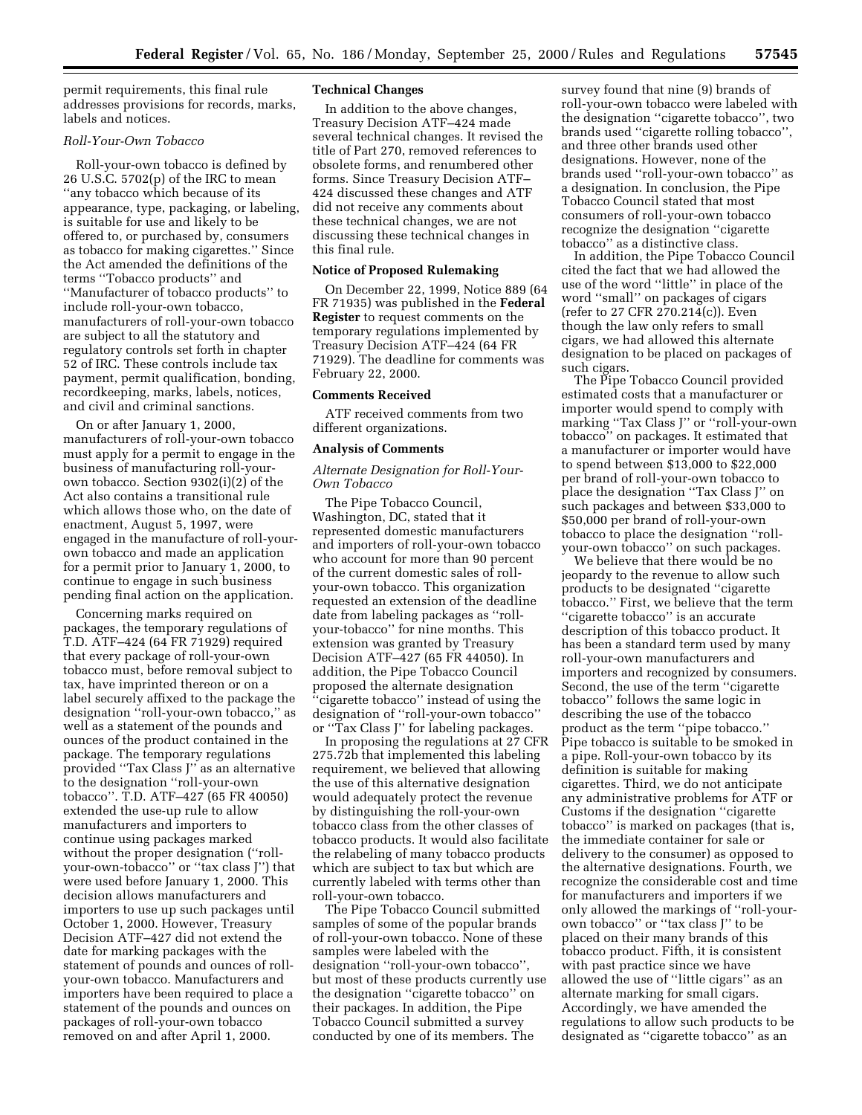permit requirements, this final rule addresses provisions for records, marks, labels and notices.

#### *Roll-Your-Own Tobacco*

Roll-your-own tobacco is defined by 26 U.S.C. 5702(p) of the IRC to mean ''any tobacco which because of its appearance, type, packaging, or labeling, is suitable for use and likely to be offered to, or purchased by, consumers as tobacco for making cigarettes.'' Since the Act amended the definitions of the terms ''Tobacco products'' and ''Manufacturer of tobacco products'' to include roll-your-own tobacco, manufacturers of roll-your-own tobacco are subject to all the statutory and regulatory controls set forth in chapter 52 of IRC. These controls include tax payment, permit qualification, bonding, recordkeeping, marks, labels, notices, and civil and criminal sanctions.

On or after January 1, 2000, manufacturers of roll-your-own tobacco must apply for a permit to engage in the business of manufacturing roll-yourown tobacco. Section 9302(i)(2) of the Act also contains a transitional rule which allows those who, on the date of enactment, August 5, 1997, were engaged in the manufacture of roll-yourown tobacco and made an application for a permit prior to January 1, 2000, to continue to engage in such business pending final action on the application.

Concerning marks required on packages, the temporary regulations of T.D. ATF–424 (64 FR 71929) required that every package of roll-your-own tobacco must, before removal subject to tax, have imprinted thereon or on a label securely affixed to the package the designation ''roll-your-own tobacco,'' as well as a statement of the pounds and ounces of the product contained in the package. The temporary regulations provided ''Tax Class J'' as an alternative to the designation ''roll-your-own tobacco''. T.D. ATF–427 (65 FR 40050) extended the use-up rule to allow manufacturers and importers to continue using packages marked without the proper designation ("rollyour-own-tobacco'' or ''tax class J'') that were used before January 1, 2000. This decision allows manufacturers and importers to use up such packages until October 1, 2000. However, Treasury Decision ATF–427 did not extend the date for marking packages with the statement of pounds and ounces of rollyour-own tobacco. Manufacturers and importers have been required to place a statement of the pounds and ounces on packages of roll-your-own tobacco removed on and after April 1, 2000.

#### **Technical Changes**

In addition to the above changes, Treasury Decision ATF–424 made several technical changes. It revised the title of Part 270, removed references to obsolete forms, and renumbered other forms. Since Treasury Decision ATF– 424 discussed these changes and ATF did not receive any comments about these technical changes, we are not discussing these technical changes in this final rule.

#### **Notice of Proposed Rulemaking**

On December 22, 1999, Notice 889 (64 FR 71935) was published in the **Federal Register** to request comments on the temporary regulations implemented by Treasury Decision ATF–424 (64 FR 71929). The deadline for comments was February 22, 2000.

#### **Comments Received**

ATF received comments from two different organizations.

#### **Analysis of Comments**

# *Alternate Designation for Roll-Your-Own Tobacco*

The Pipe Tobacco Council, Washington, DC, stated that it represented domestic manufacturers and importers of roll-your-own tobacco who account for more than 90 percent of the current domestic sales of rollyour-own tobacco. This organization requested an extension of the deadline date from labeling packages as ''rollyour-tobacco'' for nine months. This extension was granted by Treasury Decision ATF–427 (65 FR 44050). In addition, the Pipe Tobacco Council proposed the alternate designation ''cigarette tobacco'' instead of using the designation of ''roll-your-own tobacco'' or ''Tax Class J'' for labeling packages.

In proposing the regulations at 27 CFR 275.72b that implemented this labeling requirement, we believed that allowing the use of this alternative designation would adequately protect the revenue by distinguishing the roll-your-own tobacco class from the other classes of tobacco products. It would also facilitate the relabeling of many tobacco products which are subject to tax but which are currently labeled with terms other than roll-your-own tobacco.

The Pipe Tobacco Council submitted samples of some of the popular brands of roll-your-own tobacco. None of these samples were labeled with the designation ''roll-your-own tobacco'', but most of these products currently use the designation ''cigarette tobacco'' on their packages. In addition, the Pipe Tobacco Council submitted a survey conducted by one of its members. The

survey found that nine (9) brands of roll-your-own tobacco were labeled with the designation ''cigarette tobacco'', two brands used ''cigarette rolling tobacco'', and three other brands used other designations. However, none of the brands used ''roll-your-own tobacco'' as a designation. In conclusion, the Pipe Tobacco Council stated that most consumers of roll-your-own tobacco recognize the designation ''cigarette tobacco'' as a distinctive class.

In addition, the Pipe Tobacco Council cited the fact that we had allowed the use of the word ''little'' in place of the word ''small'' on packages of cigars (refer to 27 CFR 270.214(c)). Even though the law only refers to small cigars, we had allowed this alternate designation to be placed on packages of such cigars.

The Pipe Tobacco Council provided estimated costs that a manufacturer or importer would spend to comply with marking ''Tax Class J'' or ''roll-your-own tobacco'' on packages. It estimated that a manufacturer or importer would have to spend between \$13,000 to \$22,000 per brand of roll-your-own tobacco to place the designation ''Tax Class J'' on such packages and between \$33,000 to \$50,000 per brand of roll-your-own tobacco to place the designation ''rollyour-own tobacco'' on such packages.

We believe that there would be no jeopardy to the revenue to allow such products to be designated ''cigarette tobacco.'' First, we believe that the term ''cigarette tobacco'' is an accurate description of this tobacco product. It has been a standard term used by many roll-your-own manufacturers and importers and recognized by consumers. Second, the use of the term ''cigarette tobacco'' follows the same logic in describing the use of the tobacco product as the term ''pipe tobacco.'' Pipe tobacco is suitable to be smoked in a pipe. Roll-your-own tobacco by its definition is suitable for making cigarettes. Third, we do not anticipate any administrative problems for ATF or Customs if the designation ''cigarette tobacco'' is marked on packages (that is, the immediate container for sale or delivery to the consumer) as opposed to the alternative designations. Fourth, we recognize the considerable cost and time for manufacturers and importers if we only allowed the markings of ''roll-yourown tobacco'' or ''tax class J'' to be placed on their many brands of this tobacco product. Fifth, it is consistent with past practice since we have allowed the use of ''little cigars'' as an alternate marking for small cigars. Accordingly, we have amended the regulations to allow such products to be designated as ''cigarette tobacco'' as an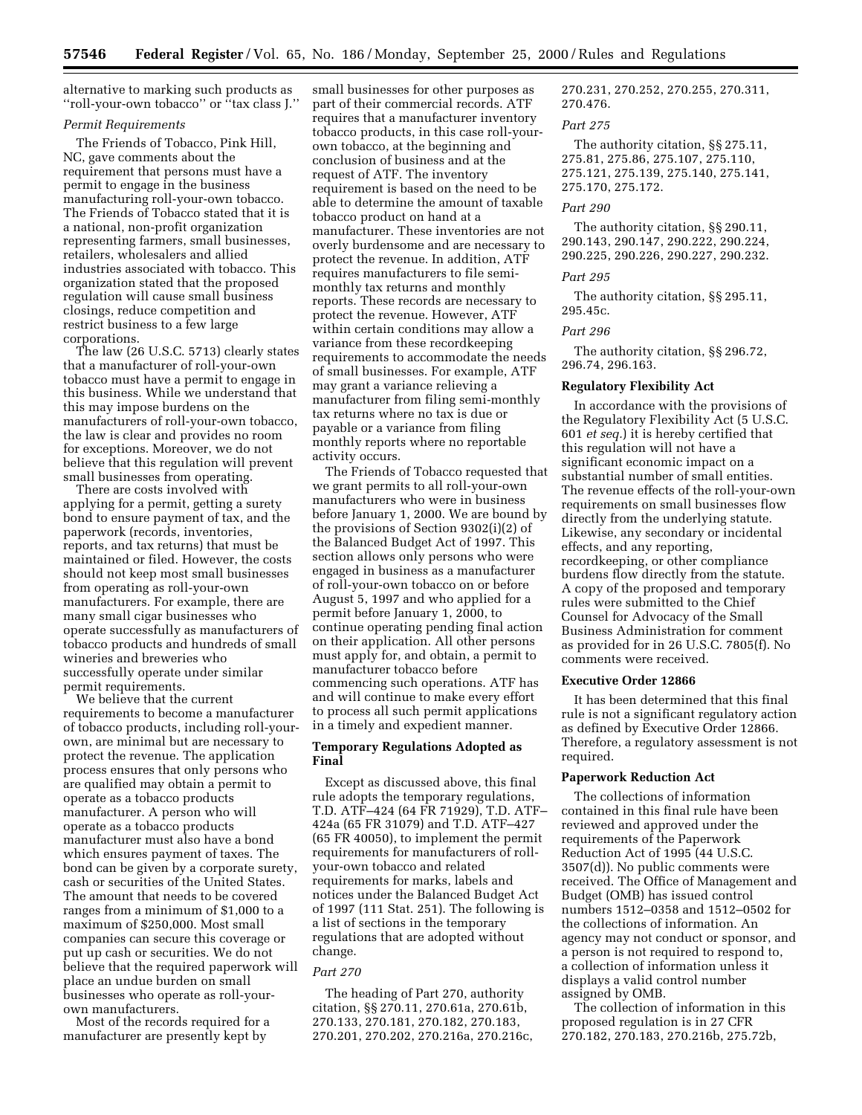alternative to marking such products as ''roll-your-own tobacco'' or ''tax class J.''

## *Permit Requirements*

The Friends of Tobacco, Pink Hill, NC, gave comments about the requirement that persons must have a permit to engage in the business manufacturing roll-your-own tobacco. The Friends of Tobacco stated that it is a national, non-profit organization representing farmers, small businesses, retailers, wholesalers and allied industries associated with tobacco. This organization stated that the proposed regulation will cause small business closings, reduce competition and restrict business to a few large corporations.

The law (26 U.S.C. 5713) clearly states that a manufacturer of roll-your-own tobacco must have a permit to engage in this business. While we understand that this may impose burdens on the manufacturers of roll-your-own tobacco, the law is clear and provides no room for exceptions. Moreover, we do not believe that this regulation will prevent small businesses from operating.

There are costs involved with applying for a permit, getting a surety bond to ensure payment of tax, and the paperwork (records, inventories, reports, and tax returns) that must be maintained or filed. However, the costs should not keep most small businesses from operating as roll-your-own manufacturers. For example, there are many small cigar businesses who operate successfully as manufacturers of tobacco products and hundreds of small wineries and breweries who successfully operate under similar permit requirements.

We believe that the current requirements to become a manufacturer of tobacco products, including roll-yourown, are minimal but are necessary to protect the revenue. The application process ensures that only persons who are qualified may obtain a permit to operate as a tobacco products manufacturer. A person who will operate as a tobacco products manufacturer must also have a bond which ensures payment of taxes. The bond can be given by a corporate surety, cash or securities of the United States. The amount that needs to be covered ranges from a minimum of \$1,000 to a maximum of \$250,000. Most small companies can secure this coverage or put up cash or securities. We do not believe that the required paperwork will place an undue burden on small businesses who operate as roll-yourown manufacturers.

Most of the records required for a manufacturer are presently kept by

small businesses for other purposes as part of their commercial records. ATF requires that a manufacturer inventory tobacco products, in this case roll-yourown tobacco, at the beginning and conclusion of business and at the request of ATF. The inventory requirement is based on the need to be able to determine the amount of taxable tobacco product on hand at a manufacturer. These inventories are not overly burdensome and are necessary to protect the revenue. In addition, ATF requires manufacturers to file semimonthly tax returns and monthly reports. These records are necessary to protect the revenue. However, ATF within certain conditions may allow a variance from these recordkeeping requirements to accommodate the needs of small businesses. For example, ATF may grant a variance relieving a manufacturer from filing semi-monthly tax returns where no tax is due or payable or a variance from filing monthly reports where no reportable activity occurs.

The Friends of Tobacco requested that we grant permits to all roll-your-own manufacturers who were in business before January 1, 2000. We are bound by the provisions of Section 9302(i)(2) of the Balanced Budget Act of 1997. This section allows only persons who were engaged in business as a manufacturer of roll-your-own tobacco on or before August 5, 1997 and who applied for a permit before January 1, 2000, to continue operating pending final action on their application. All other persons must apply for, and obtain, a permit to manufacturer tobacco before commencing such operations. ATF has and will continue to make every effort to process all such permit applications in a timely and expedient manner.

# **Temporary Regulations Adopted as Final**

Except as discussed above, this final rule adopts the temporary regulations, T.D. ATF–424 (64 FR 71929), T.D. ATF– 424a (65 FR 31079) and T.D. ATF–427 (65 FR 40050), to implement the permit requirements for manufacturers of rollyour-own tobacco and related requirements for marks, labels and notices under the Balanced Budget Act of 1997 (111 Stat. 251). The following is a list of sections in the temporary regulations that are adopted without change.

# *Part 270*

The heading of Part 270, authority citation, §§ 270.11, 270.61a, 270.61b, 270.133, 270.181, 270.182, 270.183, 270.201, 270.202, 270.216a, 270.216c, 270.231, 270.252, 270.255, 270.311, 270.476.

#### *Part 275*

The authority citation, §§ 275.11, 275.81, 275.86, 275.107, 275.110, 275.121, 275.139, 275.140, 275.141, 275.170, 275.172.

# *Part 290*

The authority citation, §§ 290.11, 290.143, 290.147, 290.222, 290.224, 290.225, 290.226, 290.227, 290.232.

# *Part 295*

The authority citation, §§ 295.11, 295.45c.

#### *Part 296*

The authority citation, §§ 296.72, 296.74, 296.163.

#### **Regulatory Flexibility Act**

In accordance with the provisions of the Regulatory Flexibility Act (5 U.S.C. 601 *et seq.*) it is hereby certified that this regulation will not have a significant economic impact on a substantial number of small entities. The revenue effects of the roll-your-own requirements on small businesses flow directly from the underlying statute. Likewise, any secondary or incidental effects, and any reporting, recordkeeping, or other compliance burdens flow directly from the statute. A copy of the proposed and temporary rules were submitted to the Chief Counsel for Advocacy of the Small Business Administration for comment as provided for in 26 U.S.C. 7805(f). No comments were received.

#### **Executive Order 12866**

It has been determined that this final rule is not a significant regulatory action as defined by Executive Order 12866. Therefore, a regulatory assessment is not required.

### **Paperwork Reduction Act**

The collections of information contained in this final rule have been reviewed and approved under the requirements of the Paperwork Reduction Act of 1995 (44 U.S.C. 3507(d)). No public comments were received. The Office of Management and Budget (OMB) has issued control numbers 1512–0358 and 1512–0502 for the collections of information. An agency may not conduct or sponsor, and a person is not required to respond to, a collection of information unless it displays a valid control number assigned by OMB.

The collection of information in this proposed regulation is in 27 CFR 270.182, 270.183, 270.216b, 275.72b,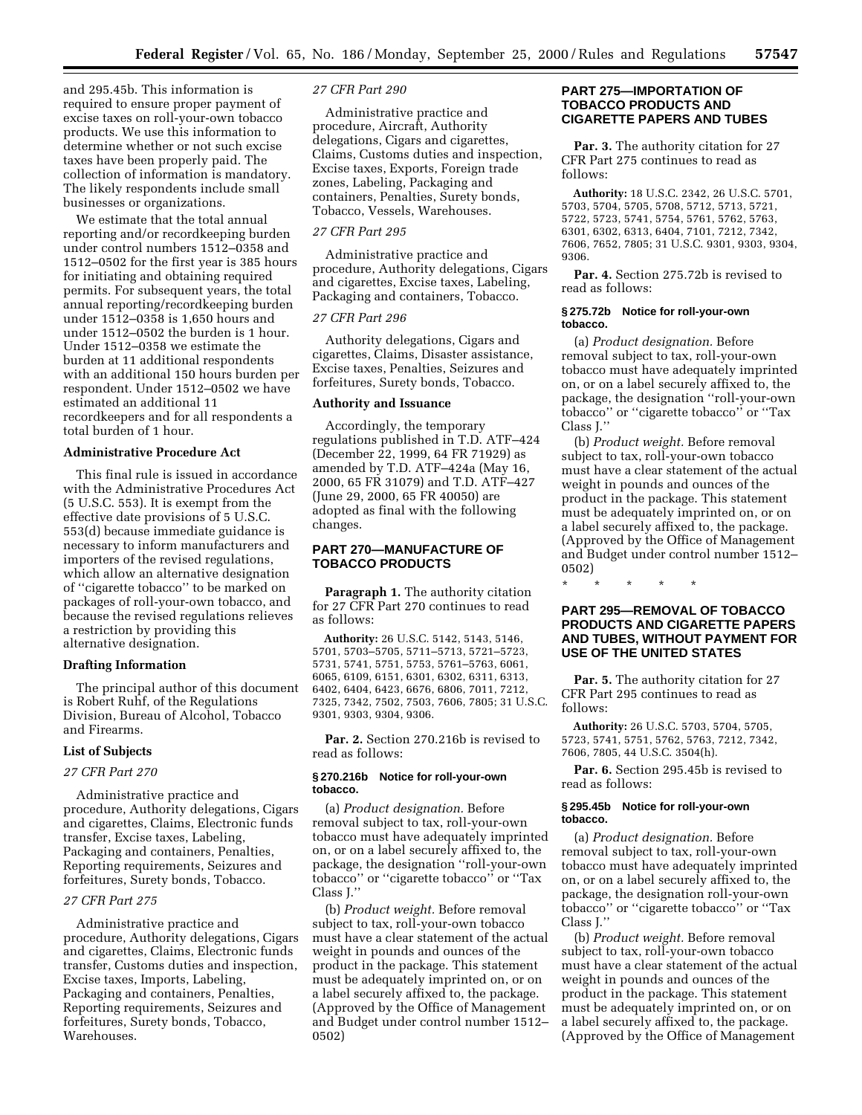and 295.45b. This information is required to ensure proper payment of excise taxes on roll-your-own tobacco products. We use this information to determine whether or not such excise taxes have been properly paid. The collection of information is mandatory. The likely respondents include small businesses or organizations.

We estimate that the total annual reporting and/or recordkeeping burden under control numbers 1512–0358 and 1512–0502 for the first year is 385 hours for initiating and obtaining required permits. For subsequent years, the total annual reporting/recordkeeping burden under 1512–0358 is 1,650 hours and under 1512–0502 the burden is 1 hour. Under 1512–0358 we estimate the burden at 11 additional respondents with an additional 150 hours burden per respondent. Under 1512–0502 we have estimated an additional 11 recordkeepers and for all respondents a total burden of 1 hour.

#### **Administrative Procedure Act**

This final rule is issued in accordance with the Administrative Procedures Act (5 U.S.C. 553). It is exempt from the effective date provisions of 5 U.S.C. 553(d) because immediate guidance is necessary to inform manufacturers and importers of the revised regulations, which allow an alternative designation of ''cigarette tobacco'' to be marked on packages of roll-your-own tobacco, and because the revised regulations relieves a restriction by providing this alternative designation.

#### **Drafting Information**

The principal author of this document is Robert Ruhf, of the Regulations Division, Bureau of Alcohol, Tobacco and Firearms.

#### **List of Subjects**

#### *27 CFR Part 270*

Administrative practice and procedure, Authority delegations, Cigars and cigarettes, Claims, Electronic funds transfer, Excise taxes, Labeling, Packaging and containers, Penalties, Reporting requirements, Seizures and forfeitures, Surety bonds, Tobacco.

#### *27 CFR Part 275*

Administrative practice and procedure, Authority delegations, Cigars and cigarettes, Claims, Electronic funds transfer, Customs duties and inspection, Excise taxes, Imports, Labeling, Packaging and containers, Penalties, Reporting requirements, Seizures and forfeitures, Surety bonds, Tobacco, Warehouses.

#### *27 CFR Part 290*

Administrative practice and procedure, Aircraft, Authority delegations, Cigars and cigarettes, Claims, Customs duties and inspection, Excise taxes, Exports, Foreign trade zones, Labeling, Packaging and containers, Penalties, Surety bonds, Tobacco, Vessels, Warehouses.

### *27 CFR Part 295*

Administrative practice and procedure, Authority delegations, Cigars and cigarettes, Excise taxes, Labeling, Packaging and containers, Tobacco.

#### *27 CFR Part 296*

Authority delegations, Cigars and cigarettes, Claims, Disaster assistance, Excise taxes, Penalties, Seizures and forfeitures, Surety bonds, Tobacco.

#### **Authority and Issuance**

Accordingly, the temporary regulations published in T.D. ATF–424 (December 22, 1999, 64 FR 71929) as amended by T.D. ATF–424a (May 16, 2000, 65 FR 31079) and T.D. ATF–427 (June 29, 2000, 65 FR 40050) are adopted as final with the following changes.

# **PART 270—MANUFACTURE OF TOBACCO PRODUCTS**

**Paragraph 1.** The authority citation for 27 CFR Part 270 continues to read as follows:

**Authority:** 26 U.S.C. 5142, 5143, 5146, 5701, 5703–5705, 5711–5713, 5721–5723, 5731, 5741, 5751, 5753, 5761–5763, 6061, 6065, 6109, 6151, 6301, 6302, 6311, 6313, 6402, 6404, 6423, 6676, 6806, 7011, 7212, 7325, 7342, 7502, 7503, 7606, 7805; 31 U.S.C. 9301, 9303, 9304, 9306.

**Par. 2.** Section 270.216b is revised to read as follows:

#### **§ 270.216b Notice for roll-your-own tobacco.**

(a) *Product designation.* Before removal subject to tax, roll-your-own tobacco must have adequately imprinted on, or on a label securely affixed to, the package, the designation ''roll-your-own tobacco'' or ''cigarette tobacco'' or ''Tax Class J.''

(b) *Product weight.* Before removal subject to tax, roll-your-own tobacco must have a clear statement of the actual weight in pounds and ounces of the product in the package. This statement must be adequately imprinted on, or on a label securely affixed to, the package. (Approved by the Office of Management and Budget under control number 1512– 0502)

# **PART 275—IMPORTATION OF TOBACCO PRODUCTS AND CIGARETTE PAPERS AND TUBES**

**Par. 3.** The authority citation for 27 CFR Part 275 continues to read as follows:

**Authority:** 18 U.S.C. 2342, 26 U.S.C. 5701, 5703, 5704, 5705, 5708, 5712, 5713, 5721, 5722, 5723, 5741, 5754, 5761, 5762, 5763, 6301, 6302, 6313, 6404, 7101, 7212, 7342, 7606, 7652, 7805; 31 U.S.C. 9301, 9303, 9304, 9306.

**Par. 4.** Section 275.72b is revised to read as follows:

#### **§ 275.72b Notice for roll-your-own tobacco.**

(a) *Product designation.* Before removal subject to tax, roll-your-own tobacco must have adequately imprinted on, or on a label securely affixed to, the package, the designation ''roll-your-own tobacco'' or ''cigarette tobacco'' or ''Tax Class J.''

(b) *Product weight.* Before removal subject to tax, roll-your-own tobacco must have a clear statement of the actual weight in pounds and ounces of the product in the package. This statement must be adequately imprinted on, or on a label securely affixed to, the package. (Approved by the Office of Management and Budget under control number 1512– 0502)

\* \* \* \* \*

# **PART 295—REMOVAL OF TOBACCO PRODUCTS AND CIGARETTE PAPERS AND TUBES, WITHOUT PAYMENT FOR USE OF THE UNITED STATES**

**Par. 5.** The authority citation for 27 CFR Part 295 continues to read as follows:

**Authority:** 26 U.S.C. 5703, 5704, 5705, 5723, 5741, 5751, 5762, 5763, 7212, 7342, 7606, 7805, 44 U.S.C. 3504(h).

**Par. 6.** Section 295.45b is revised to read as follows:

#### **§ 295.45b Notice for roll-your-own tobacco.**

(a) *Product designation.* Before removal subject to tax, roll-your-own tobacco must have adequately imprinted on, or on a label securely affixed to, the package, the designation roll-your-own tobacco'' or ''cigarette tobacco'' or ''Tax Class J.''

(b) *Product weight.* Before removal subject to tax, roll-your-own tobacco must have a clear statement of the actual weight in pounds and ounces of the product in the package. This statement must be adequately imprinted on, or on a label securely affixed to, the package. (Approved by the Office of Management